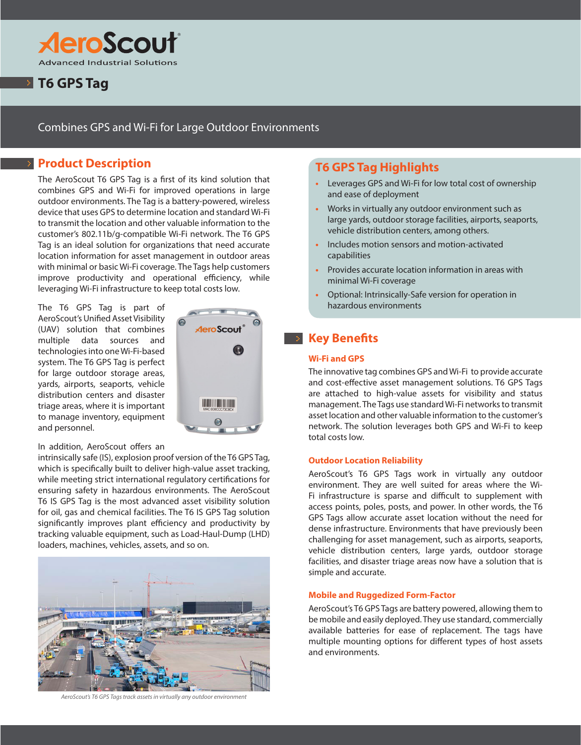

# **T6 GPS Tag**

### Combines GPS and Wi-Fi for Large Outdoor Environments

## **Product Description**

The AeroScout T6 GPS Tag is a first of its kind solution that combines GPS and Wi-Fi for improved operations in large outdoor environments. The Tag is a battery-powered, wireless device that uses GPS to determine location and standard Wi-Fi to transmit the location and other valuable information to the customer's 802.11b/g-compatible Wi-Fi network. The T6 GPS Tag is an ideal solution for organizations that need accurate location information for asset management in outdoor areas with minimal or basic Wi-Fi coverage. The Tags help customers improve productivity and operational efficiency, while leveraging Wi-Fi infrastructure to keep total costs low.

The T6 GPS Tag is part of AeroScout's Unified Asset Visibility (UAV) solution that combines multiple data sources and technologies into one Wi-Fi-based system. The T6 GPS Tag is perfect for large outdoor storage areas, yards, airports, seaports, vehicle distribution centers and disaster triage areas, where it is important to manage inventory, equipment and personnel.



#### In addition, AeroScout offers an

intrinsically safe (IS), explosion proof version of the T6 GPS Tag, which is specifically built to deliver high-value asset tracking, while meeting strict international regulatory certifications for ensuring safety in hazardous environments. The AeroScout T6 IS GPS Tag is the most advanced asset visibility solution for oil, gas and chemical facilities. The T6 IS GPS Tag solution significantly improves plant efficiency and productivity by tracking valuable equipment, such as Load-Haul-Dump (LHD) loaders, machines, vehicles, assets, and so on.



*AeroScout's T6 GPS Tags track assets in virtually any outdoor environment*

## **T6 GPS Tag Highlights**

- **•** Leverages GPS and Wi-Fi for low total cost of ownership and ease of deployment
- **•** Works in virtually any outdoor environment such as large yards, outdoor storage facilities, airports, seaports, vehicle distribution centers, among others.
- **•** Includes motion sensors and motion-activated capabilities
- **•** Provides accurate location information in areas with minimal Wi-Fi coverage
- **•** Optional: Intrinsically-Safe version for operation in hazardous environments

## **Key Benefits**

#### **Wi-Fi and GPS**

The innovative tag combines GPS and Wi-Fi to provide accurate and cost-effective asset management solutions. T6 GPS Tags are attached to high-value assets for visibility and status management. The Tags use standard Wi-Fi networks to transmit asset location and other valuable information to the customer's network. The solution leverages both GPS and Wi-Fi to keep total costs low.

#### **Outdoor Location Reliability**

AeroScout's T6 GPS Tags work in virtually any outdoor environment. They are well suited for areas where the Wi-Fi infrastructure is sparse and difficult to supplement with access points, poles, posts, and power. In other words, the T6 GPS Tags allow accurate asset location without the need for dense infrastructure. Environments that have previously been challenging for asset management, such as airports, seaports, vehicle distribution centers, large yards, outdoor storage facilities, and disaster triage areas now have a solution that is simple and accurate.

#### **Mobile and Ruggedized Form-Factor**

AeroScout's T6 GPS Tags are battery powered, allowing them to be mobile and easily deployed. They use standard, commercially available batteries for ease of replacement. The tags have multiple mounting options for different types of host assets and environments.